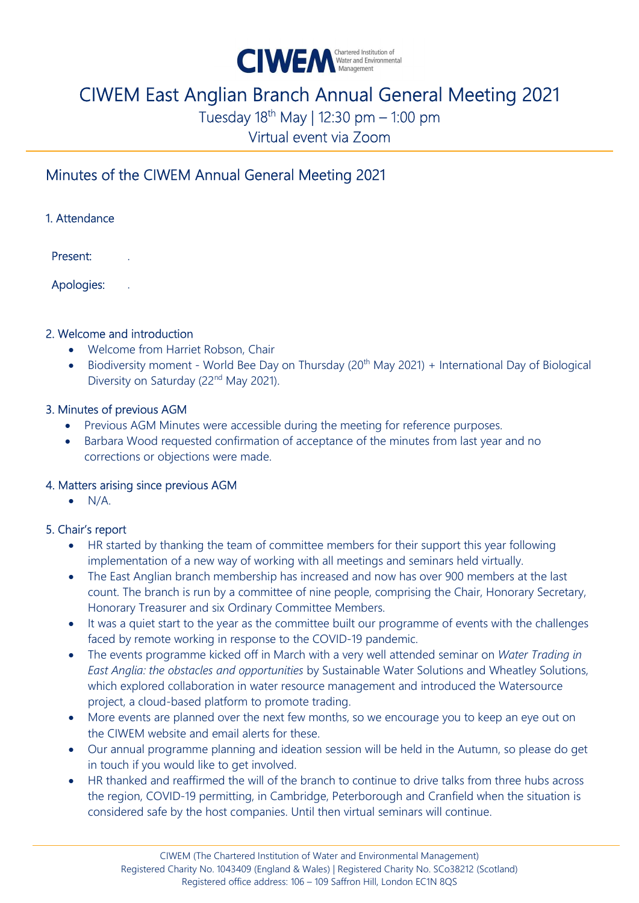

# CIWEM East Anglian Branch Annual General Meeting 2021

Tuesday  $18^{th}$  May | 12:30 pm – 1:00 pm

Virtual event via Zoom

## Minutes of the CIWEM Annual General Meeting 2021

| 1. Attendance |
|---------------|
|               |

Present:

Apologies:

#### 2. Welcome and introduction

- Welcome from Harriet Robson, Chair
- Biodiversity moment World Bee Day on Thursday (20<sup>th</sup> May 2021) + International Day of Biological Diversity on Saturday (22<sup>nd</sup> May 2021).

#### 3. Minutes of previous AGM

- Previous AGM Minutes were accessible during the meeting for reference purposes.
- Barbara Wood requested confirmation of acceptance of the minutes from last year and no corrections or objections were made.

#### 4. Matters arising since previous AGM

 $\bullet$  N/A.

#### 5. Chair's report

- HR started by thanking the team of committee members for their support this year following implementation of a new way of working with all meetings and seminars held virtually.
- The East Anglian branch membership has increased and now has over 900 members at the last count. The branch is run by a committee of nine people, comprising the Chair, Honorary Secretary, Honorary Treasurer and six Ordinary Committee Members.
- It was a quiet start to the year as the committee built our programme of events with the challenges faced by remote working in response to the COVID-19 pandemic.
- The events programme kicked off in March with a very well attended seminar on Water Trading in East Anglia: the obstacles and opportunities by Sustainable Water Solutions and Wheatley Solutions, which explored collaboration in water resource management and introduced the Watersource project, a cloud-based platform to promote trading.
- More events are planned over the next few months, so we encourage you to keep an eye out on the CIWEM website and email alerts for these.
- Our annual programme planning and ideation session will be held in the Autumn, so please do get in touch if you would like to get involved.
- HR thanked and reaffirmed the will of the branch to continue to drive talks from three hubs across the region, COVID-19 permitting, in Cambridge, Peterborough and Cranfield when the situation is considered safe by the host companies. Until then virtual seminars will continue.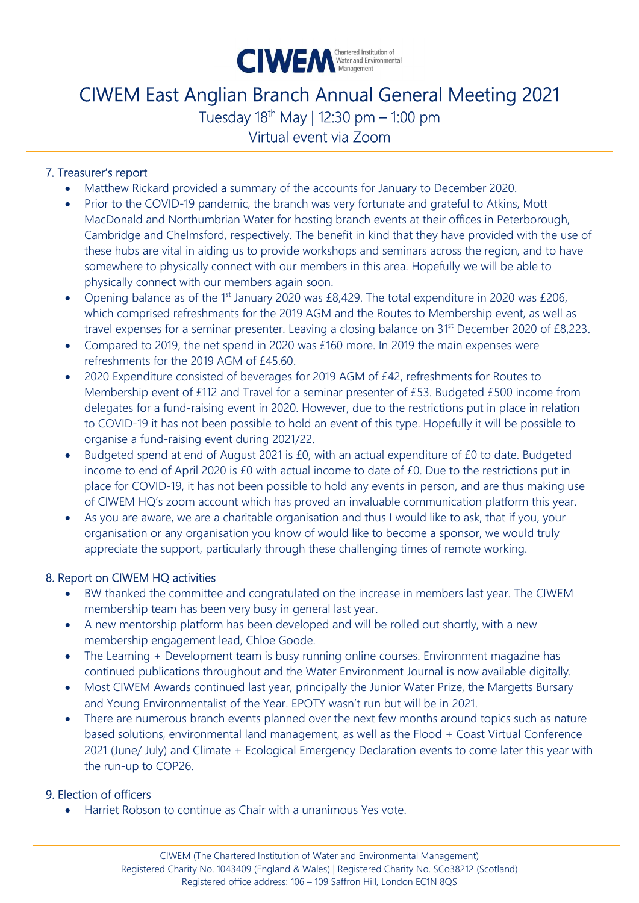

## CIWEM East Anglian Branch Annual General Meeting 2021 Tuesday  $18^{th}$  May | 12:30 pm – 1:00 pm

Virtual event via Zoom

#### 7. Treasurer's report

- Matthew Rickard provided a summary of the accounts for January to December 2020.
- Prior to the COVID-19 pandemic, the branch was very fortunate and grateful to Atkins, Mott MacDonald and Northumbrian Water for hosting branch events at their offices in Peterborough, Cambridge and Chelmsford, respectively. The benefit in kind that they have provided with the use of these hubs are vital in aiding us to provide workshops and seminars across the region, and to have somewhere to physically connect with our members in this area. Hopefully we will be able to physically connect with our members again soon.
- Opening balance as of the 1<sup>st</sup> January 2020 was £8,429. The total expenditure in 2020 was £206, which comprised refreshments for the 2019 AGM and the Routes to Membership event, as well as travel expenses for a seminar presenter. Leaving a closing balance on 31<sup>st</sup> December 2020 of £8,223.
- Compared to 2019, the net spend in 2020 was £160 more. In 2019 the main expenses were refreshments for the 2019 AGM of £45.60.
- 2020 Expenditure consisted of beverages for 2019 AGM of £42, refreshments for Routes to Membership event of £112 and Travel for a seminar presenter of £53. Budgeted £500 income from delegates for a fund-raising event in 2020. However, due to the restrictions put in place in relation to COVID-19 it has not been possible to hold an event of this type. Hopefully it will be possible to organise a fund-raising event during 2021/22.
- Budgeted spend at end of August 2021 is £0, with an actual expenditure of £0 to date. Budgeted income to end of April 2020 is £0 with actual income to date of £0. Due to the restrictions put in place for COVID-19, it has not been possible to hold any events in person, and are thus making use of CIWEM HQ's zoom account which has proved an invaluable communication platform this year.
- As you are aware, we are a charitable organisation and thus I would like to ask, that if you, your organisation or any organisation you know of would like to become a sponsor, we would truly appreciate the support, particularly through these challenging times of remote working.

#### 8. Report on CIWEM HQ activities

- BW thanked the committee and congratulated on the increase in members last year. The CIWEM membership team has been very busy in general last year.
- A new mentorship platform has been developed and will be rolled out shortly, with a new membership engagement lead, Chloe Goode.
- The Learning + Development team is busy running online courses. Environment magazine has continued publications throughout and the Water Environment Journal is now available digitally.
- Most CIWEM Awards continued last year, principally the Junior Water Prize, the Margetts Bursary and Young Environmentalist of the Year. EPOTY wasn't run but will be in 2021.
- There are numerous branch events planned over the next few months around topics such as nature based solutions, environmental land management, as well as the Flood + Coast Virtual Conference 2021 (June/ July) and Climate + Ecological Emergency Declaration events to come later this year with the run-up to COP26.

#### 9. Election of officers

Harriet Robson to continue as Chair with a unanimous Yes vote.